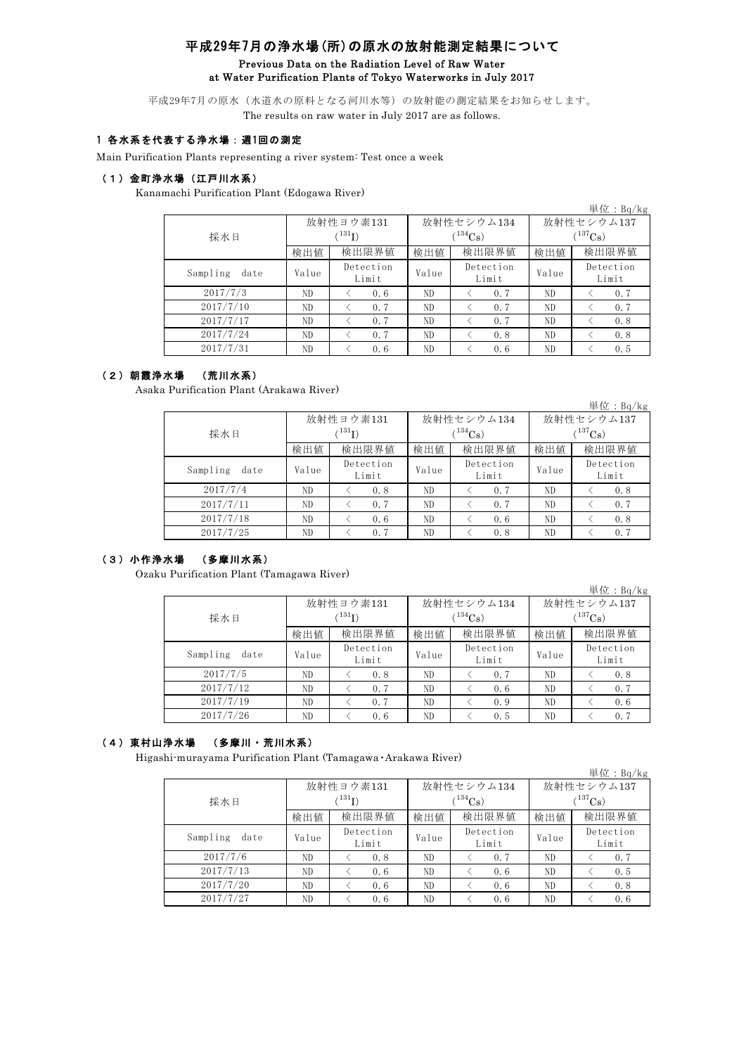# 平成29年7月の浄水場(所)の原水の放射能測定結果について Previous Data on the Radiation Level of Raw Water at Water Purification Plants of Tokyo Waterworks in July 2017

平成29年7月の原水(水道水の原料となる河川水等)の放射能の測定結果をお知らせします。 The results on raw water in July 2017 are as follows.

### 1 各水系を代表する浄水場:週1回の測定

Main Purification Plants representing a river system: Test once a week

## (1)金町浄水場(江戸川水系)

Kanamachi Purification Plant (Edogawa River)

|                  |       |                    |       |                    |              | 単位: $Bq/kg$        |  |  |
|------------------|-------|--------------------|-------|--------------------|--------------|--------------------|--|--|
|                  |       | 放射性ヨウ素131          |       | 放射性セシウム134         | 放射性セシウム137   |                    |  |  |
| 採水日              |       | $^{131}$ I)        |       | $134C_8$           | $(^{137}Cs)$ |                    |  |  |
|                  | 検出値   | 検出限界値              | 検出値   | 検出限界値              | 検出値          | 検出限界値              |  |  |
| Sampling<br>date | Value | Detection<br>Limit | Value | Detection<br>Limit | Value        | Detection<br>Limit |  |  |
| 2017/7/3         | ND.   | 0.6                | ND.   | 0.7                | ND.          | 0.7                |  |  |
| 2017/7/10        | ND.   | 0.7                | ND    | 0.7                | ND           | 0.7                |  |  |
| 2017/7/17        | ND    | 0.7                | ND    | 0.7                | ND.          | 0.8                |  |  |
| 2017/7/24        | ND    | 0.7                | ND    | 0.8                | ND           | 0.8                |  |  |
| 2017/7/31        | ND.   | 0.6                | ND    | 0.6                | ND.          | 0.5                |  |  |

#### (2)朝霞浄水場 (荒川水系)

Asaka Purification Plant (Arakawa River)

|                  |       |                    |          |                    |             | 単位: $Bq/kg$        |  |  |
|------------------|-------|--------------------|----------|--------------------|-------------|--------------------|--|--|
|                  |       | 放射性ヨウ素131          |          | 放射性セシウム134         | 放射性セシウム137  |                    |  |  |
| 採水日              |       | $^{131}$ I)        | $134C_8$ |                    | $(137)$ Cs) |                    |  |  |
|                  | 検出値   | 検出限界値              | 検出値      | 検出限界値              | 検出値         | 検出限界値              |  |  |
| Sampling<br>date | Value | Detection<br>Limit | Value    | Detection<br>Limit | Value       | Detection<br>Limit |  |  |
| 2017/7/4         | ND.   | 0.8                | ND.      | 0.7                | ND.         | 0.8                |  |  |
| 2017/7/11        | ND.   | 0.7                | ND       | 0.7                | ND.         | 0.7                |  |  |
| 2017/7/18        | ND    | 0.6                | ND       | 0.6                | ND          | 0.8                |  |  |
| 2017/7/25        | ND    | 0.7                | ND       | 0.8                | ND          | 0.7                |  |  |

### (3)小作浄水場 (多摩川水系)

Ozaku Purification Plant (Tamagawa River)

|                  |       |                    |       |                    |            | 単位: $Bq/kg$        |  |
|------------------|-------|--------------------|-------|--------------------|------------|--------------------|--|
|                  |       | 放射性ヨウ素131          |       | 放射性セシウム134         | 放射性セシウム137 |                    |  |
| 採水日              | (131) |                    |       | $(^{134}Cs)$       | $(137)$ Cs |                    |  |
|                  | 検出値   | 検出限界値              | 検出値   | 検出限界値              | 検出値        | 検出限界値              |  |
| Sampling<br>date | Value | Detection<br>Limit | Value | Detection<br>Limit | Value      | Detection<br>Limit |  |
| 2017/7/5         | ND    | 0.8                | ND    | 0.7                | ND         | 0.8                |  |
| 2017/7/12        | ND    | 0.7                | ND    | 0.6                | ND         | 0.7                |  |
| 2017/7/19        | ND    | 0.7                | ND    | 0.9                | ND         | 0.6                |  |
| 2017/7/26        | ND    | 0.6                | ND    | 0.5                | ND         | 0.7                |  |

### (4)東村山浄水場 (多摩川・荒川水系)

Higashi-murayama Purification Plant (Tamagawa・Arakawa River)

|                  |       |                    |       |                    |            | 単位: $Bq/kg$        |  |  |
|------------------|-------|--------------------|-------|--------------------|------------|--------------------|--|--|
|                  |       | 放射性ヨウ素131          |       | 放射性セシウム134         | 放射性セシウム137 |                    |  |  |
| 採水日              |       | $^{131}$ I)        |       | $134C_8$           | $(137)$ Cs |                    |  |  |
|                  | 検出値   | 検出限界値              | 検出値   | 検出限界値              | 検出値        | 検出限界値              |  |  |
| Sampling<br>date | Value | Detection<br>Limit | Value | Detection<br>Limit | Value      | Detection<br>Limit |  |  |
| 2017/7/6         | ND.   | 0.8                | ND    | 0.7                | ND.        | 0.7                |  |  |
| 2017/7/13        | ND    | 0.6                | ND    | 0.6                | ND         | 0.5                |  |  |
| 2017/7/20        | ND.   | 0.6                | ND    | 0.6                | ND         | 0.8                |  |  |
| 2017/7/27        | ND    | 0.6                | ND    | 0.6                | ND         | 0.6                |  |  |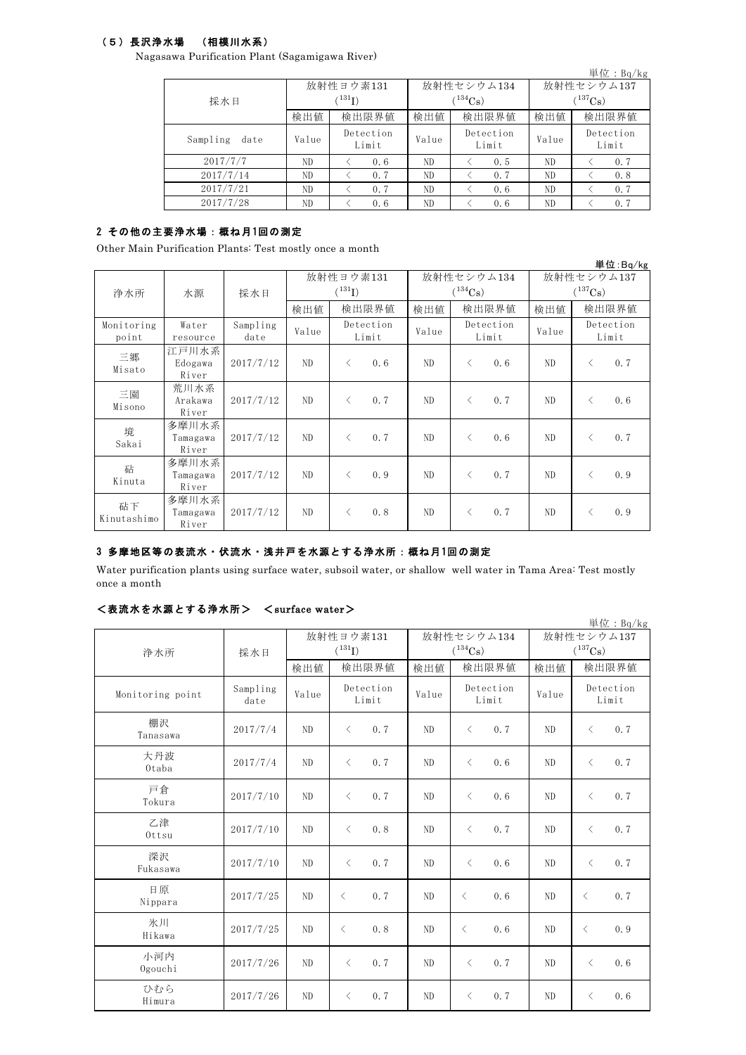## (5)長沢浄水場 (相模川水系)

Nagasawa Purification Plant (Sagamigawa River)

|                  |       |                                       |                             |                        |                           | 単位: $Bq/kg$        |  |
|------------------|-------|---------------------------------------|-----------------------------|------------------------|---------------------------|--------------------|--|
| 採水日              |       | 放射性ヨウ素131<br>$^{\prime\,131}{\rm I)}$ |                             | 放射性セシウム134<br>$134C_s$ | 放射性セシウム137<br>$(137)$ Cs) |                    |  |
|                  | 検出値   | 検出限界値                                 | 検出値                         | 検出限界値                  | 検出値                       | 検出限界値              |  |
| Sampling<br>date | Value | Detection<br>Limit                    | Detection<br>Value<br>Limit |                        | Value                     | Detection<br>Limit |  |
| 2017/7/7         | ND.   | 0.6                                   | ND                          | 0.5                    | ND                        | 0, 7               |  |
| 2017/7/14        | ND    | 0.7                                   | ND                          | 0.7                    | ND                        | 0.8                |  |
| 2017/7/21        | ND.   | 0.7                                   | ND                          | 0.6                    | ND                        | 0, 7               |  |
| 2017/7/28        | ND.   | 0.6                                   | ND                          | 0.6                    | ND                        | 0.7                |  |

# 2 その他の主要浄水場:概ね月1回の測定

Other Main Purification Plants: Test mostly once a month

|                     |                            |                  |                          |                    |                            |                             |           |                            |     |                    | 単位: Bq/kg |
|---------------------|----------------------------|------------------|--------------------------|--------------------|----------------------------|-----------------------------|-----------|----------------------------|-----|--------------------|-----------|
| 浄水所                 | 水源                         | 採水日              | 放射性ヨウ素131<br>$(^{131}I)$ |                    | 放射性セシウム134<br>$(^{134}Cs)$ |                             |           | 放射性セシウム137<br>$(^{137}Cs)$ |     |                    |           |
|                     |                            |                  | 検出値                      | 検出限界値              |                            | 検出値                         | 検出限界値     |                            | 検出値 |                    | 検出限界値     |
| Monitoring<br>point | Water<br>resource          | Sampling<br>date | Value                    | Detection<br>Limit |                            | Detection<br>Value<br>Limit |           | Value                      |     | Detection<br>Limit |           |
| 三郷<br>Misato        | 江戸川水系<br>Edogawa<br>River  | 2017/7/12        | ND                       | $\langle$          | 0.6                        | ND                          | $\langle$ | 0.6                        | ND. | $\langle$          | 0.7       |
| 三園<br>Misono        | 荒川水系<br>Arakawa<br>River   | 2017/7/12        | N <sub>D</sub>           | $\langle$          | 0.7                        | ND                          | $\langle$ | 0.7                        | ND. | $\langle$          | 0.6       |
| 境<br>Sakai          | 多摩川水系<br>Tamagawa<br>River | 2017/7/12        | N <sub>D</sub>           | $\langle$          | 0.7                        | ND                          | $\langle$ | 0.6                        | ND. | $\langle$          | 0.7       |
| 砧<br>Kinuta         | 多摩川水系<br>Tamagawa<br>River | 2017/7/12        | ND                       | $\langle$          | 0.9                        | ND.                         | $\langle$ | 0.7                        | ND. | $\langle$          | 0.9       |
| 砧下<br>Kinutashimo   | 多摩川水系<br>Tamagawa<br>River | 2017/7/12        | ND                       | $\lt$              | 0.8                        | ND                          | $\langle$ | 0.7                        | ND. | $\langle$          | 0.9       |

## 3 多摩地区等の表流水・伏流水・浅井戸を水源とする浄水所:概ね月 1回の測定

Water purification plants using surface water, subsoil water, or shallow well water in Tama Area: Test mostly once a month

## <表流水を水源とする浄水所> <surface water>

|                  |                  |       |                    |                |                       |                       | 単位: $Bq/kg$        |  |
|------------------|------------------|-------|--------------------|----------------|-----------------------|-----------------------|--------------------|--|
|                  |                  |       | 放射性ヨウ素131          |                | 放射性セシウム134            | 放射性セシウム137            |                    |  |
| 浄水所              | 採水日              |       | $(^{131}I)$        |                | $(^{134}\mathrm{Cs})$ | $(^{137}\mathrm{Cs})$ |                    |  |
|                  |                  | 検出値   | 検出限界値              | 検出値            | 検出限界値                 | 検出値                   | 検出限界値              |  |
| Monitoring point | Sampling<br>date | Value | Detection<br>Limit | Value          | Detection<br>Limit    | Value                 | Detection<br>Limit |  |
| 棚沢<br>Tanasawa   | 2017/7/4         | ND    | 0.7<br>$\langle$   | ND             | 0.7<br>$\langle$      | ND                    | 0.7<br>$\langle$   |  |
| 大丹波<br>Otaba     | 2017/7/4         | ND    | 0.7<br>$\langle$   | ND             | $\lt$<br>0.6          | ND                    | 0.7<br>$\lt$       |  |
| 戸倉<br>Tokura     | 2017/7/10        | ND    | 0.7<br>$\langle$   | ND             | 0.6<br>$\langle$      | N <sub>D</sub>        | 0.7<br>$\langle$   |  |
| 乙津<br>Ottsu      | 2017/7/10        | ND    | 0.8<br>$\langle$   | ND             | 0.7<br>$\langle$      | N <sub>D</sub>        | 0.7<br>$\langle$   |  |
| 深沢<br>Fukasawa   | 2017/7/10        | ND    | 0.7<br>$\langle$   | N <sub>D</sub> | 0.6<br>$\langle$      | ND                    | 0.7<br>$\lt$       |  |
| 日原<br>Nippara    | 2017/7/25        | ND    | 0.7<br>$\langle$   | N <sub>D</sub> | 0.6<br>$\langle$      | ND                    | 0.7<br>$\langle$   |  |
| 氷川<br>Hikawa     | 2017/7/25        | ND    | 0.8<br>$\langle$   | N <sub>D</sub> | 0.6<br>$\langle$      | ND                    | 0.9<br>$\langle$   |  |
| 小河内<br>Ogouchi   | 2017/7/26        | ND    | 0.7<br>$\langle$   | N <sub>D</sub> | 0.7<br>$\langle$      | ND                    | 0.6<br>$\langle$   |  |
| ひから<br>Himura    | 2017/7/26        | ND    | 0.7<br>$\lt$       | ND             | 0.7<br>$\lt$          | ND                    | 0.6<br>$\lt$       |  |